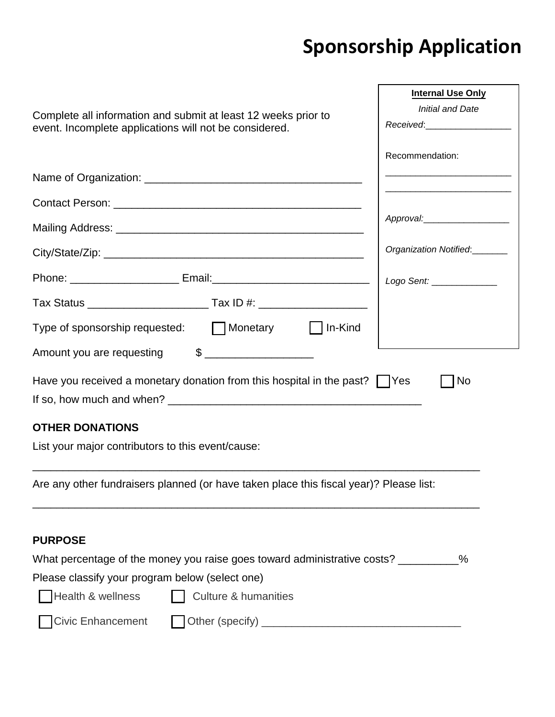## **Sponsorship Application**

| Complete all information and submit at least 12 weeks prior to<br>event. Incomplete applications will not be considered.                                                                                                                   | <b>Internal Use Only</b><br><b>Initial and Date</b><br>Received:_____________________<br>Recommendation:<br>Approval:_____________________ |
|--------------------------------------------------------------------------------------------------------------------------------------------------------------------------------------------------------------------------------------------|--------------------------------------------------------------------------------------------------------------------------------------------|
|                                                                                                                                                                                                                                            |                                                                                                                                            |
|                                                                                                                                                                                                                                            | Organization Notified:<br>________                                                                                                         |
|                                                                                                                                                                                                                                            | Logo Sent: ______________                                                                                                                  |
|                                                                                                                                                                                                                                            |                                                                                                                                            |
| Type of sponsorship requested: Monetary   In-Kind                                                                                                                                                                                          |                                                                                                                                            |
| Amount you are requesting \$                                                                                                                                                                                                               |                                                                                                                                            |
| Have you received a monetary donation from this hospital in the past? $\vert \vert$ Yes                                                                                                                                                    | No                                                                                                                                         |
| <b>OTHER DONATIONS</b><br>List your major contributors to this event/cause:                                                                                                                                                                |                                                                                                                                            |
| Are any other fundraisers planned (or have taken place this fiscal year)? Please list:                                                                                                                                                     |                                                                                                                                            |
| <b>PURPOSE</b><br>What percentage of the money you raise goes toward administrative costs? ________<br>Please classify your program below (select one)<br>Health & wellness<br><b>Culture &amp; humanities</b><br><b>Civic Enhancement</b> | $\%$                                                                                                                                       |
|                                                                                                                                                                                                                                            |                                                                                                                                            |